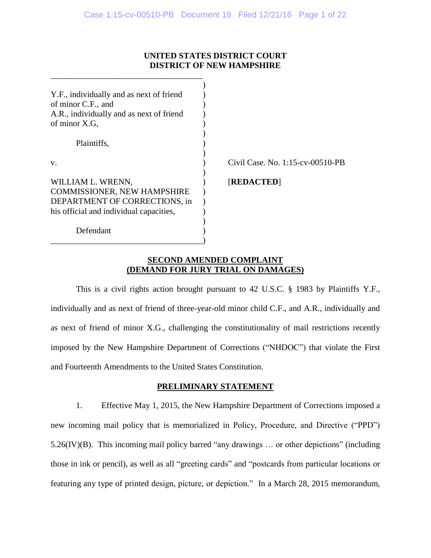## **UNITED STATES DISTRICT COURT DISTRICT OF NEW HAMPSHIRE**

| Y.F., individually and as next of friend<br>of minor C.F., and<br>A.R., individually and as next of friend<br>of minor X.G,         |                                  |
|-------------------------------------------------------------------------------------------------------------------------------------|----------------------------------|
| Plaintiffs,                                                                                                                         |                                  |
| V.                                                                                                                                  | Civil Case, No. 1:15-cv-00510-PB |
| WILLIAM L. WRENN,<br><b>COMMISSIONER, NEW HAMPSHIRE</b><br>DEPARTMENT OF CORRECTIONS, in<br>his official and individual capacities, | [REDACTED]                       |
| Defendant                                                                                                                           |                                  |

\_\_\_\_\_\_\_\_\_\_\_\_\_\_\_\_\_\_\_\_\_\_\_\_\_\_\_\_\_\_\_\_\_\_\_\_

## **SECOND AMENDED COMPLAINT (DEMAND FOR JURY TRIAL ON DAMAGES)**

This is a civil rights action brought pursuant to 42 U.S.C. § 1983 by Plaintiffs Y.F., individually and as next of friend of three-year-old minor child C.F., and A.R., individually and as next of friend of minor X.G., challenging the constitutionality of mail restrictions recently imposed by the New Hampshire Department of Corrections ("NHDOC") that violate the First and Fourteenth Amendments to the United States Constitution.

# **PRELIMINARY STATEMENT**

1. Effective May 1, 2015, the New Hampshire Department of Corrections imposed a new incoming mail policy that is memorialized in Policy, Procedure, and Directive ("PPD") 5.26(IV)(B). This incoming mail policy barred "any drawings … or other depictions" (including those in ink or pencil), as well as all "greeting cards" and "postcards from particular locations or featuring any type of printed design, picture, or depiction." In a March 28, 2015 memorandum,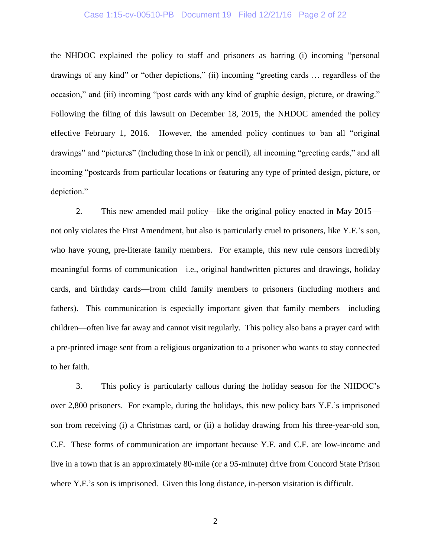#### Case 1:15-cv-00510-PB Document 19 Filed 12/21/16 Page 2 of 22

the NHDOC explained the policy to staff and prisoners as barring (i) incoming "personal drawings of any kind" or "other depictions," (ii) incoming "greeting cards … regardless of the occasion," and (iii) incoming "post cards with any kind of graphic design, picture, or drawing." Following the filing of this lawsuit on December 18, 2015, the NHDOC amended the policy effective February 1, 2016. However, the amended policy continues to ban all "original drawings" and "pictures" (including those in ink or pencil), all incoming "greeting cards," and all incoming "postcards from particular locations or featuring any type of printed design, picture, or depiction."

2. This new amended mail policy—like the original policy enacted in May 2015 not only violates the First Amendment, but also is particularly cruel to prisoners, like Y.F.'s son, who have young, pre-literate family members. For example, this new rule censors incredibly meaningful forms of communication—i.e., original handwritten pictures and drawings, holiday cards, and birthday cards—from child family members to prisoners (including mothers and fathers). This communication is especially important given that family members—including children—often live far away and cannot visit regularly. This policy also bans a prayer card with a pre-printed image sent from a religious organization to a prisoner who wants to stay connected to her faith.

3. This policy is particularly callous during the holiday season for the NHDOC's over 2,800 prisoners. For example, during the holidays, this new policy bars Y.F.'s imprisoned son from receiving (i) a Christmas card, or (ii) a holiday drawing from his three-year-old son, C.F. These forms of communication are important because Y.F. and C.F. are low-income and live in a town that is an approximately 80-mile (or a 95-minute) drive from Concord State Prison where Y.F.'s son is imprisoned. Given this long distance, in-person visitation is difficult.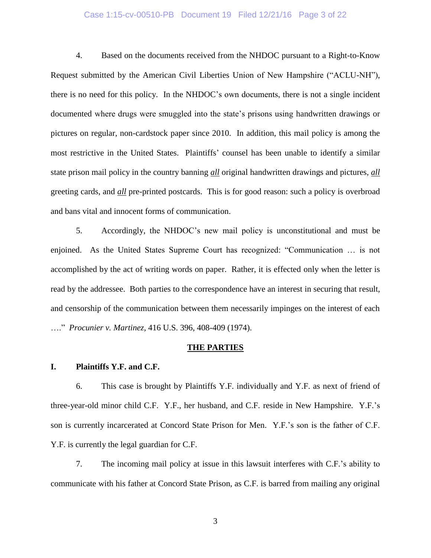# Case 1:15-cv-00510-PB Document 19 Filed 12/21/16 Page 3 of 22

4. Based on the documents received from the NHDOC pursuant to a Right-to-Know Request submitted by the American Civil Liberties Union of New Hampshire ("ACLU-NH"), there is no need for this policy. In the NHDOC's own documents, there is not a single incident documented where drugs were smuggled into the state's prisons using handwritten drawings or pictures on regular, non-cardstock paper since 2010. In addition, this mail policy is among the most restrictive in the United States. Plaintiffs' counsel has been unable to identify a similar state prison mail policy in the country banning *all* original handwritten drawings and pictures, *all* greeting cards, and *all* pre-printed postcards. This is for good reason: such a policy is overbroad and bans vital and innocent forms of communication.

5. Accordingly, the NHDOC's new mail policy is unconstitutional and must be enjoined. As the United States Supreme Court has recognized: "Communication … is not accomplished by the act of writing words on paper. Rather, it is effected only when the letter is read by the addressee. Both parties to the correspondence have an interest in securing that result, and censorship of the communication between them necessarily impinges on the interest of each …." *Procunier v. Martinez*, 416 U.S. 396, 408-409 (1974).

#### **THE PARTIES**

#### **I. Plaintiffs Y.F. and C.F.**

6. This case is brought by Plaintiffs Y.F. individually and Y.F. as next of friend of three-year-old minor child C.F. Y.F., her husband, and C.F. reside in New Hampshire. Y.F.'s son is currently incarcerated at Concord State Prison for Men. Y.F.'s son is the father of C.F. Y.F. is currently the legal guardian for C.F.

7. The incoming mail policy at issue in this lawsuit interferes with C.F.'s ability to communicate with his father at Concord State Prison, as C.F. is barred from mailing any original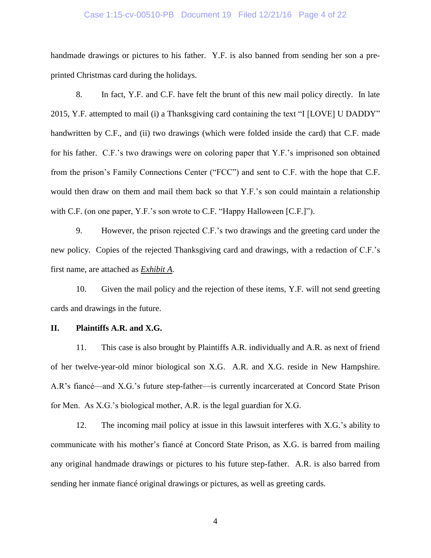#### Case 1:15-cv-00510-PB Document 19 Filed 12/21/16 Page 4 of 22

handmade drawings or pictures to his father. Y.F. is also banned from sending her son a preprinted Christmas card during the holidays.

8. In fact, Y.F. and C.F. have felt the brunt of this new mail policy directly. In late 2015, Y.F. attempted to mail (i) a Thanksgiving card containing the text "I [LOVE] U DADDY" handwritten by C.F., and (ii) two drawings (which were folded inside the card) that C.F. made for his father. C.F.'s two drawings were on coloring paper that Y.F.'s imprisoned son obtained from the prison's Family Connections Center ("FCC") and sent to C.F. with the hope that C.F. would then draw on them and mail them back so that Y.F.'s son could maintain a relationship with C.F. (on one paper, Y.F.'s son wrote to C.F. "Happy Halloween [C.F.]").

9. However, the prison rejected C.F.'s two drawings and the greeting card under the new policy. Copies of the rejected Thanksgiving card and drawings, with a redaction of C.F.'s first name, are attached as *Exhibit A*.

10. Given the mail policy and the rejection of these items, Y.F. will not send greeting cards and drawings in the future.

### **II. Plaintiffs A.R. and X.G.**

11. This case is also brought by Plaintiffs A.R. individually and A.R. as next of friend of her twelve-year-old minor biological son X.G. A.R. and X.G. reside in New Hampshire. A.R's fiancé—and X.G.'s future step-father—is currently incarcerated at Concord State Prison for Men. As X.G.'s biological mother, A.R. is the legal guardian for X.G.

12. The incoming mail policy at issue in this lawsuit interferes with X.G.'s ability to communicate with his mother's fiancé at Concord State Prison, as X.G. is barred from mailing any original handmade drawings or pictures to his future step-father. A.R. is also barred from sending her inmate fiancé original drawings or pictures, as well as greeting cards.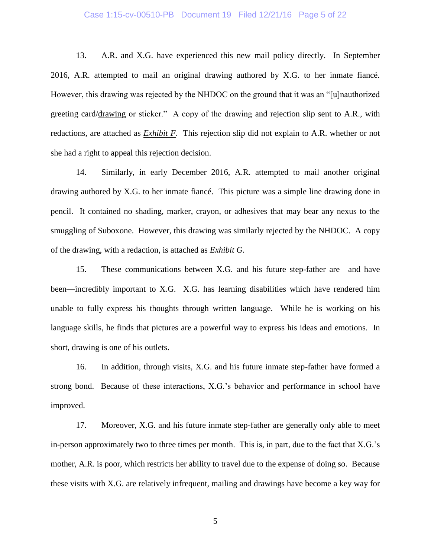#### Case 1:15-cv-00510-PB Document 19 Filed 12/21/16 Page 5 of 22

13. A.R. and X.G. have experienced this new mail policy directly. In September 2016, A.R. attempted to mail an original drawing authored by X.G. to her inmate fiancé. However, this drawing was rejected by the NHDOC on the ground that it was an "[u]nauthorized greeting card/drawing or sticker." A copy of the drawing and rejection slip sent to A.R., with redactions, are attached as *Exhibit F*. This rejection slip did not explain to A.R. whether or not she had a right to appeal this rejection decision.

14. Similarly, in early December 2016, A.R. attempted to mail another original drawing authored by X.G. to her inmate fiancé. This picture was a simple line drawing done in pencil. It contained no shading, marker, crayon, or adhesives that may bear any nexus to the smuggling of Suboxone. However, this drawing was similarly rejected by the NHDOC. A copy of the drawing, with a redaction, is attached as *Exhibit G*.

15. These communications between X.G. and his future step-father are—and have been—incredibly important to X.G. X.G. has learning disabilities which have rendered him unable to fully express his thoughts through written language. While he is working on his language skills, he finds that pictures are a powerful way to express his ideas and emotions. In short, drawing is one of his outlets.

16. In addition, through visits, X.G. and his future inmate step-father have formed a strong bond. Because of these interactions, X.G.'s behavior and performance in school have improved.

17. Moreover, X.G. and his future inmate step-father are generally only able to meet in-person approximately two to three times per month. This is, in part, due to the fact that X.G.'s mother, A.R. is poor, which restricts her ability to travel due to the expense of doing so. Because these visits with X.G. are relatively infrequent, mailing and drawings have become a key way for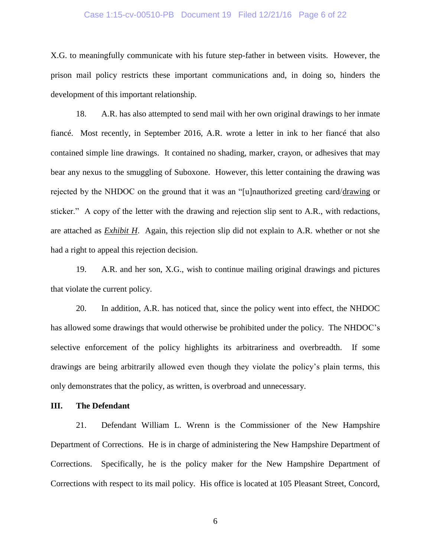# Case 1:15-cv-00510-PB Document 19 Filed 12/21/16 Page 6 of 22

X.G. to meaningfully communicate with his future step-father in between visits. However, the prison mail policy restricts these important communications and, in doing so, hinders the development of this important relationship.

18. A.R. has also attempted to send mail with her own original drawings to her inmate fiancé. Most recently, in September 2016, A.R. wrote a letter in ink to her fiancé that also contained simple line drawings. It contained no shading, marker, crayon, or adhesives that may bear any nexus to the smuggling of Suboxone. However, this letter containing the drawing was rejected by the NHDOC on the ground that it was an "[u]nauthorized greeting card/drawing or sticker." A copy of the letter with the drawing and rejection slip sent to A.R., with redactions, are attached as *Exhibit H*. Again, this rejection slip did not explain to A.R. whether or not she had a right to appeal this rejection decision.

19. A.R. and her son, X.G., wish to continue mailing original drawings and pictures that violate the current policy.

20. In addition, A.R. has noticed that, since the policy went into effect, the NHDOC has allowed some drawings that would otherwise be prohibited under the policy. The NHDOC's selective enforcement of the policy highlights its arbitrariness and overbreadth. If some drawings are being arbitrarily allowed even though they violate the policy's plain terms, this only demonstrates that the policy, as written, is overbroad and unnecessary.

### **III. The Defendant**

21. Defendant William L. Wrenn is the Commissioner of the New Hampshire Department of Corrections. He is in charge of administering the New Hampshire Department of Corrections. Specifically, he is the policy maker for the New Hampshire Department of Corrections with respect to its mail policy. His office is located at 105 Pleasant Street, Concord,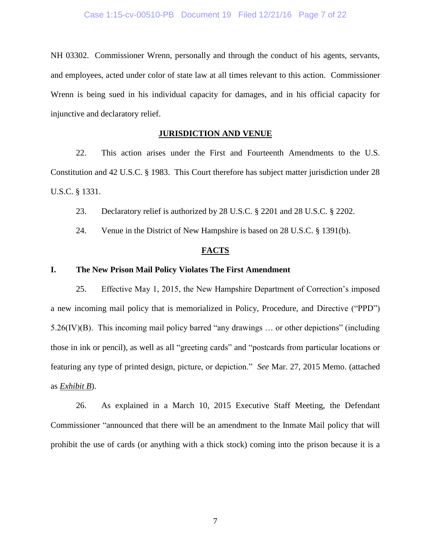NH 03302. Commissioner Wrenn, personally and through the conduct of his agents, servants, and employees, acted under color of state law at all times relevant to this action. Commissioner Wrenn is being sued in his individual capacity for damages, and in his official capacity for injunctive and declaratory relief.

### **JURISDICTION AND VENUE**

22. This action arises under the First and Fourteenth Amendments to the U.S. Constitution and 42 U.S.C. § 1983. This Court therefore has subject matter jurisdiction under 28 U.S.C. § 1331.

23. Declaratory relief is authorized by 28 U.S.C. § 2201 and 28 U.S.C. § 2202.

24. Venue in the District of New Hampshire is based on 28 U.S.C. § 1391(b).

#### **FACTS**

#### **I. The New Prison Mail Policy Violates The First Amendment**

25. Effective May 1, 2015, the New Hampshire Department of Correction's imposed a new incoming mail policy that is memorialized in Policy, Procedure, and Directive ("PPD") 5.26(IV)(B). This incoming mail policy barred "any drawings … or other depictions" (including those in ink or pencil), as well as all "greeting cards" and "postcards from particular locations or featuring any type of printed design, picture, or depiction." *See* Mar. 27, 2015 Memo. (attached as *Exhibit B*).

26. As explained in a March 10, 2015 Executive Staff Meeting, the Defendant Commissioner "announced that there will be an amendment to the Inmate Mail policy that will prohibit the use of cards (or anything with a thick stock) coming into the prison because it is a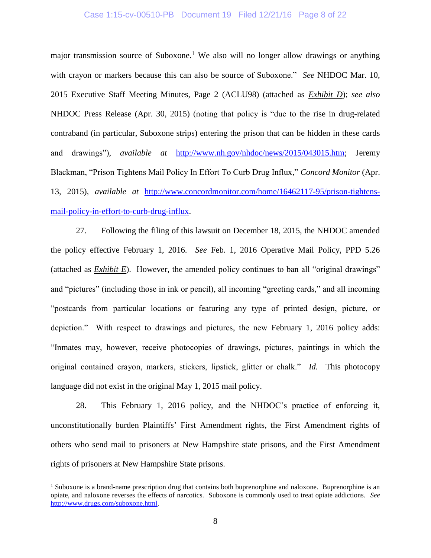#### Case 1:15-cv-00510-PB Document 19 Filed 12/21/16 Page 8 of 22

major transmission source of Suboxone.<sup>1</sup> We also will no longer allow drawings or anything with crayon or markers because this can also be source of Suboxone." *See* NHDOC Mar. 10, 2015 Executive Staff Meeting Minutes, Page 2 (ACLU98) (attached as *Exhibit D*); *see also* NHDOC Press Release (Apr. 30, 2015) (noting that policy is "due to the rise in drug-related contraband (in particular, Suboxone strips) entering the prison that can be hidden in these cards and drawings"), *available at* [http://www.nh.gov/nhdoc/news/2015/043015.htm;](http://www.nh.gov/nhdoc/news/2015/043015.htm) Jeremy Blackman, "Prison Tightens Mail Policy In Effort To Curb Drug Influx," *Concord Monitor* (Apr. 13, 2015), *available at* [http://www.concordmonitor.com/home/16462117-95/prison-tightens](http://www.concordmonitor.com/home/16462117-95/prison-tightens-mail-policy-in-effort-to-curb-drug-influx)[mail-policy-in-effort-to-curb-drug-influx.](http://www.concordmonitor.com/home/16462117-95/prison-tightens-mail-policy-in-effort-to-curb-drug-influx)

27. Following the filing of this lawsuit on December 18, 2015, the NHDOC amended the policy effective February 1, 2016. *See* Feb. 1, 2016 Operative Mail Policy, PPD 5.26 (attached as *Exhibit E*). However, the amended policy continues to ban all "original drawings" and "pictures" (including those in ink or pencil), all incoming "greeting cards," and all incoming "postcards from particular locations or featuring any type of printed design, picture, or depiction." With respect to drawings and pictures, the new February 1, 2016 policy adds: "Inmates may, however, receive photocopies of drawings, pictures, paintings in which the original contained crayon, markers, stickers, lipstick, glitter or chalk." *Id.* This photocopy language did not exist in the original May 1, 2015 mail policy.

28. This February 1, 2016 policy, and the NHDOC's practice of enforcing it, unconstitutionally burden Plaintiffs' First Amendment rights, the First Amendment rights of others who send mail to prisoners at New Hampshire state prisons, and the First Amendment rights of prisoners at New Hampshire State prisons.

 $\overline{a}$ 

<sup>&</sup>lt;sup>1</sup> Suboxone is a brand-name prescription drug that contains both buprenorphine and naloxone. Buprenorphine is an opiate, and naloxone reverses the effects of narcotics. Suboxone is commonly used to treat opiate addictions. *See* [http://www.drugs.com/suboxone.html.](http://www.drugs.com/suboxone.html)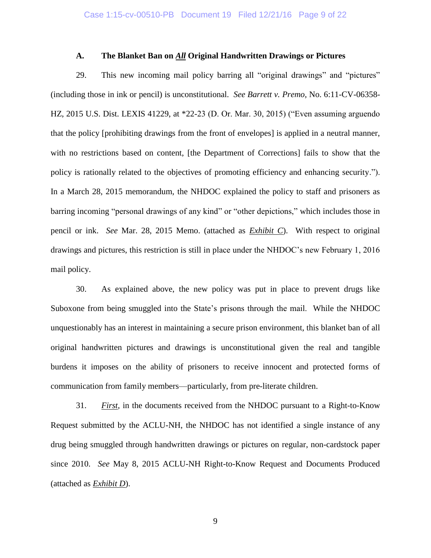### **A. The Blanket Ban on** *All* **Original Handwritten Drawings or Pictures**

29. This new incoming mail policy barring all "original drawings" and "pictures" (including those in ink or pencil) is unconstitutional. *See Barrett v. Premo*, No. 6:11-CV-06358- HZ, 2015 U.S. Dist. LEXIS 41229, at \*22-23 (D. Or. Mar. 30, 2015) ("Even assuming arguendo that the policy [prohibiting drawings from the front of envelopes] is applied in a neutral manner, with no restrictions based on content, [the Department of Corrections] fails to show that the policy is rationally related to the objectives of promoting efficiency and enhancing security."). In a March 28, 2015 memorandum, the NHDOC explained the policy to staff and prisoners as barring incoming "personal drawings of any kind" or "other depictions," which includes those in pencil or ink. *See* Mar. 28, 2015 Memo. (attached as *Exhibit C*). With respect to original drawings and pictures, this restriction is still in place under the NHDOC's new February 1, 2016 mail policy.

30. As explained above, the new policy was put in place to prevent drugs like Suboxone from being smuggled into the State's prisons through the mail. While the NHDOC unquestionably has an interest in maintaining a secure prison environment, this blanket ban of all original handwritten pictures and drawings is unconstitutional given the real and tangible burdens it imposes on the ability of prisoners to receive innocent and protected forms of communication from family members—particularly, from pre-literate children.

31. *First*, in the documents received from the NHDOC pursuant to a Right-to-Know Request submitted by the ACLU-NH, the NHDOC has not identified a single instance of any drug being smuggled through handwritten drawings or pictures on regular, non-cardstock paper since 2010. *See* May 8, 2015 ACLU-NH Right-to-Know Request and Documents Produced (attached as *Exhibit D*).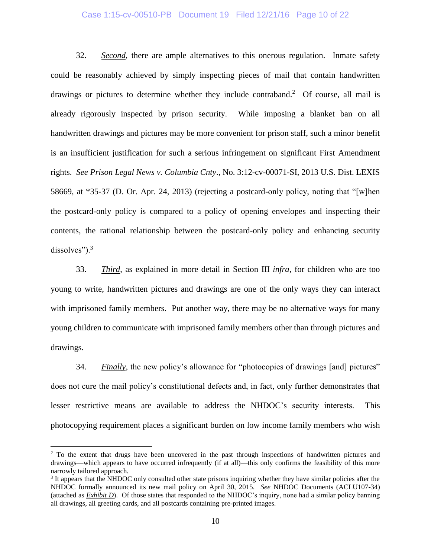### Case 1:15-cv-00510-PB Document 19 Filed 12/21/16 Page 10 of 22

32. *Second*, there are ample alternatives to this onerous regulation. Inmate safety could be reasonably achieved by simply inspecting pieces of mail that contain handwritten drawings or pictures to determine whether they include contraband.<sup>2</sup> Of course, all mail is already rigorously inspected by prison security. While imposing a blanket ban on all handwritten drawings and pictures may be more convenient for prison staff, such a minor benefit is an insufficient justification for such a serious infringement on significant First Amendment rights. *See Prison Legal News v. Columbia Cnty*., No. 3:12-cv-00071-SI, 2013 U.S. Dist. LEXIS 58669, at \*35-37 (D. Or. Apr. 24, 2013) (rejecting a postcard-only policy, noting that "[w]hen the postcard-only policy is compared to a policy of opening envelopes and inspecting their contents, the rational relationship between the postcard-only policy and enhancing security dissolves").<sup>3</sup>

33. *Third*, as explained in more detail in Section III *infra*, for children who are too young to write, handwritten pictures and drawings are one of the only ways they can interact with imprisoned family members. Put another way, there may be no alternative ways for many young children to communicate with imprisoned family members other than through pictures and drawings.

34. *Finally*, the new policy's allowance for "photocopies of drawings [and] pictures" does not cure the mail policy's constitutional defects and, in fact, only further demonstrates that lesser restrictive means are available to address the NHDOC's security interests. This photocopying requirement places a significant burden on low income family members who wish

 $\overline{a}$ 

<sup>&</sup>lt;sup>2</sup> To the extent that drugs have been uncovered in the past through inspections of handwritten pictures and drawings—which appears to have occurred infrequently (if at all)—this only confirms the feasibility of this more narrowly tailored approach.

<sup>&</sup>lt;sup>3</sup> It appears that the NHDOC only consulted other state prisons inquiring whether they have similar policies after the NHDOC formally announced its new mail policy on April 30, 2015. *See* NHDOC Documents (ACLU107-34) (attached as *Exhibit D*). Of those states that responded to the NHDOC's inquiry, none had a similar policy banning all drawings, all greeting cards, and all postcards containing pre-printed images.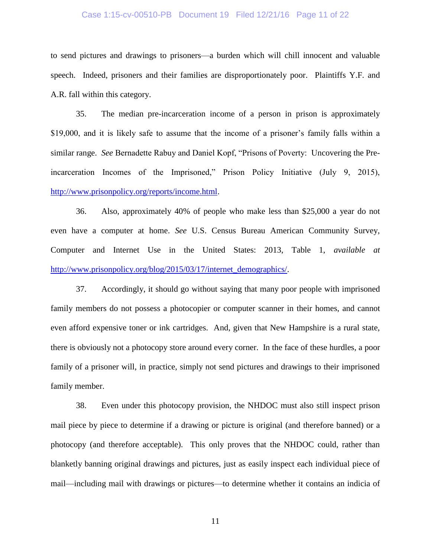#### Case 1:15-cv-00510-PB Document 19 Filed 12/21/16 Page 11 of 22

to send pictures and drawings to prisoners—a burden which will chill innocent and valuable speech. Indeed, prisoners and their families are disproportionately poor. Plaintiffs Y.F. and A.R. fall within this category.

35. The median pre-incarceration income of a person in prison is approximately \$19,000, and it is likely safe to assume that the income of a prisoner's family falls within a similar range. *See* Bernadette Rabuy and Daniel Kopf, "Prisons of Poverty: Uncovering the Preincarceration Incomes of the Imprisoned," Prison Policy Initiative (July 9, 2015), [http://www.prisonpolicy.org/reports/income.html.](http://www.prisonpolicy.org/reports/income.html)

36. Also, approximately 40% of people who make less than \$25,000 a year do not even have a computer at home. *See* U.S. Census Bureau American Community Survey, Computer and Internet Use in the United States: 2013, Table 1, *available at* [http://www.prisonpolicy.org/blog/2015/03/17/internet\\_demographics/.](http://www.prisonpolicy.org/blog/2015/03/17/internet_demographics/)

37. Accordingly, it should go without saying that many poor people with imprisoned family members do not possess a photocopier or computer scanner in their homes, and cannot even afford expensive toner or ink cartridges. And, given that New Hampshire is a rural state, there is obviously not a photocopy store around every corner. In the face of these hurdles, a poor family of a prisoner will, in practice, simply not send pictures and drawings to their imprisoned family member.

38. Even under this photocopy provision, the NHDOC must also still inspect prison mail piece by piece to determine if a drawing or picture is original (and therefore banned) or a photocopy (and therefore acceptable). This only proves that the NHDOC could, rather than blanketly banning original drawings and pictures, just as easily inspect each individual piece of mail—including mail with drawings or pictures—to determine whether it contains an indicia of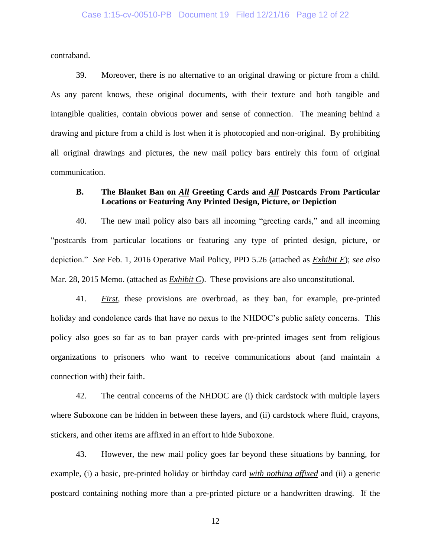contraband.

39. Moreover, there is no alternative to an original drawing or picture from a child. As any parent knows, these original documents, with their texture and both tangible and intangible qualities, contain obvious power and sense of connection. The meaning behind a drawing and picture from a child is lost when it is photocopied and non-original. By prohibiting all original drawings and pictures, the new mail policy bars entirely this form of original communication.

## **B. The Blanket Ban on** *All* **Greeting Cards and** *All* **Postcards From Particular Locations or Featuring Any Printed Design, Picture, or Depiction**

40. The new mail policy also bars all incoming "greeting cards," and all incoming "postcards from particular locations or featuring any type of printed design, picture, or depiction." *See* Feb. 1, 2016 Operative Mail Policy, PPD 5.26 (attached as *Exhibit E*); *see also* Mar. 28, 2015 Memo. (attached as *Exhibit C*). These provisions are also unconstitutional.

41. *First*, these provisions are overbroad, as they ban, for example, pre-printed holiday and condolence cards that have no nexus to the NHDOC's public safety concerns. This policy also goes so far as to ban prayer cards with pre-printed images sent from religious organizations to prisoners who want to receive communications about (and maintain a connection with) their faith.

42. The central concerns of the NHDOC are (i) thick cardstock with multiple layers where Suboxone can be hidden in between these layers, and (ii) cardstock where fluid, crayons, stickers, and other items are affixed in an effort to hide Suboxone.

43. However, the new mail policy goes far beyond these situations by banning, for example, (i) a basic, pre-printed holiday or birthday card *with nothing affixed* and (ii) a generic postcard containing nothing more than a pre-printed picture or a handwritten drawing. If the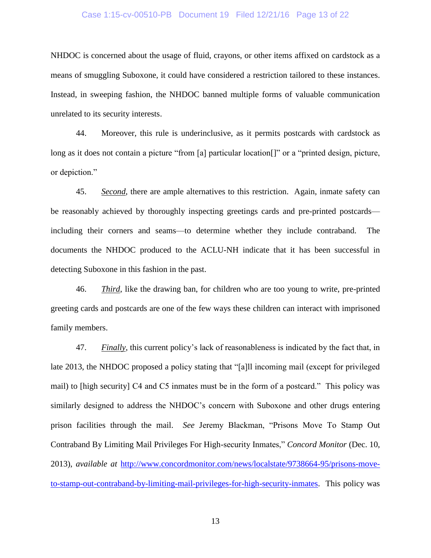#### Case 1:15-cv-00510-PB Document 19 Filed 12/21/16 Page 13 of 22

NHDOC is concerned about the usage of fluid, crayons, or other items affixed on cardstock as a means of smuggling Suboxone, it could have considered a restriction tailored to these instances. Instead, in sweeping fashion, the NHDOC banned multiple forms of valuable communication unrelated to its security interests.

44. Moreover, this rule is underinclusive, as it permits postcards with cardstock as long as it does not contain a picture "from [a] particular location<sup>[]"</sup> or a "printed design, picture, or depiction."

45. *Second*, there are ample alternatives to this restriction. Again, inmate safety can be reasonably achieved by thoroughly inspecting greetings cards and pre-printed postcards including their corners and seams—to determine whether they include contraband. The documents the NHDOC produced to the ACLU-NH indicate that it has been successful in detecting Suboxone in this fashion in the past.

46. *Third*, like the drawing ban, for children who are too young to write, pre-printed greeting cards and postcards are one of the few ways these children can interact with imprisoned family members.

47. *Finally*, this current policy's lack of reasonableness is indicated by the fact that, in late 2013, the NHDOC proposed a policy stating that "[a]ll incoming mail (except for privileged mail) to [high security] C4 and C5 inmates must be in the form of a postcard." This policy was similarly designed to address the NHDOC's concern with Suboxone and other drugs entering prison facilities through the mail. *See* Jeremy Blackman, "Prisons Move To Stamp Out Contraband By Limiting Mail Privileges For High-security Inmates," *Concord Monitor* (Dec. 10, 2013), *available at* [http://www.concordmonitor.com/news/localstate/9738664-95/prisons-move](http://www.concordmonitor.com/news/localstate/9738664-95/prisons-move-to-stamp-out-contraband-by-limiting-mail-privileges-for-high-security-inmates)[to-stamp-out-contraband-by-limiting-mail-privileges-for-high-security-inmates.](http://www.concordmonitor.com/news/localstate/9738664-95/prisons-move-to-stamp-out-contraband-by-limiting-mail-privileges-for-high-security-inmates) This policy was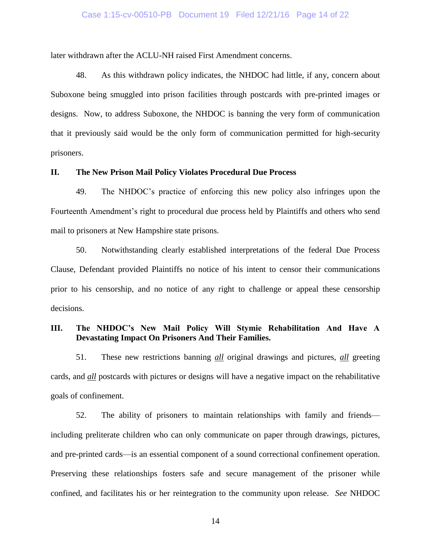# Case 1:15-cv-00510-PB Document 19 Filed 12/21/16 Page 14 of 22

later withdrawn after the ACLU-NH raised First Amendment concerns.

48. As this withdrawn policy indicates, the NHDOC had little, if any, concern about Suboxone being smuggled into prison facilities through postcards with pre-printed images or designs. Now, to address Suboxone, the NHDOC is banning the very form of communication that it previously said would be the only form of communication permitted for high-security prisoners.

### **II. The New Prison Mail Policy Violates Procedural Due Process**

49. The NHDOC's practice of enforcing this new policy also infringes upon the Fourteenth Amendment's right to procedural due process held by Plaintiffs and others who send mail to prisoners at New Hampshire state prisons.

50. Notwithstanding clearly established interpretations of the federal Due Process Clause, Defendant provided Plaintiffs no notice of his intent to censor their communications prior to his censorship, and no notice of any right to challenge or appeal these censorship decisions.

# **III. The NHDOC's New Mail Policy Will Stymie Rehabilitation And Have A Devastating Impact On Prisoners And Their Families.**

51. These new restrictions banning *all* original drawings and pictures, *all* greeting cards, and *all* postcards with pictures or designs will have a negative impact on the rehabilitative goals of confinement.

52. The ability of prisoners to maintain relationships with family and friends including preliterate children who can only communicate on paper through drawings, pictures, and pre-printed cards—is an essential component of a sound correctional confinement operation. Preserving these relationships fosters safe and secure management of the prisoner while confined, and facilitates his or her reintegration to the community upon release. *See* NHDOC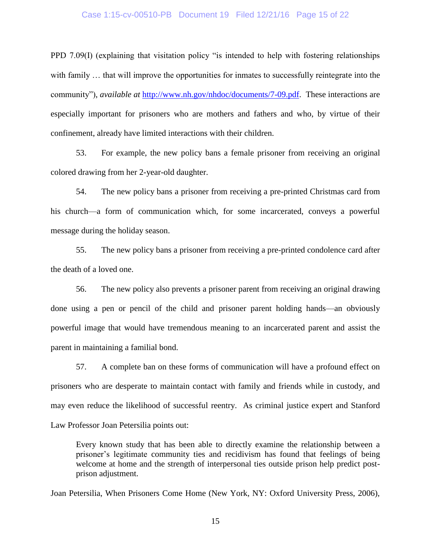#### Case 1:15-cv-00510-PB Document 19 Filed 12/21/16 Page 15 of 22

PPD 7.09(I) (explaining that visitation policy "is intended to help with fostering relationships with family ... that will improve the opportunities for inmates to successfully reintegrate into the community"), *available at* [http://www.nh.gov/nhdoc/documents/7-09.pdf.](www.nh.gov/nhdoc/documents/7-09.pdf) These interactions are especially important for prisoners who are mothers and fathers and who, by virtue of their confinement, already have limited interactions with their children.

53. For example, the new policy bans a female prisoner from receiving an original colored drawing from her 2-year-old daughter.

54. The new policy bans a prisoner from receiving a pre-printed Christmas card from his church—a form of communication which, for some incarcerated, conveys a powerful message during the holiday season.

55. The new policy bans a prisoner from receiving a pre-printed condolence card after the death of a loved one.

56. The new policy also prevents a prisoner parent from receiving an original drawing done using a pen or pencil of the child and prisoner parent holding hands—an obviously powerful image that would have tremendous meaning to an incarcerated parent and assist the parent in maintaining a familial bond.

57. A complete ban on these forms of communication will have a profound effect on prisoners who are desperate to maintain contact with family and friends while in custody, and may even reduce the likelihood of successful reentry. As criminal justice expert and Stanford Law Professor Joan Petersilia points out:

Every known study that has been able to directly examine the relationship between a prisoner's legitimate community ties and recidivism has found that feelings of being welcome at home and the strength of interpersonal ties outside prison help predict postprison adjustment.

Joan Petersilia, When Prisoners Come Home (New York, NY: Oxford University Press, 2006),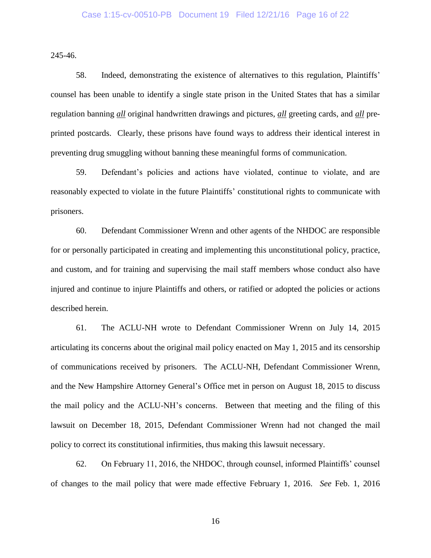245-46.

58. Indeed, demonstrating the existence of alternatives to this regulation, Plaintiffs' counsel has been unable to identify a single state prison in the United States that has a similar regulation banning *all* original handwritten drawings and pictures, *all* greeting cards, and *all* preprinted postcards. Clearly, these prisons have found ways to address their identical interest in preventing drug smuggling without banning these meaningful forms of communication.

59. Defendant's policies and actions have violated, continue to violate, and are reasonably expected to violate in the future Plaintiffs' constitutional rights to communicate with prisoners.

60. Defendant Commissioner Wrenn and other agents of the NHDOC are responsible for or personally participated in creating and implementing this unconstitutional policy, practice, and custom, and for training and supervising the mail staff members whose conduct also have injured and continue to injure Plaintiffs and others, or ratified or adopted the policies or actions described herein.

61. The ACLU-NH wrote to Defendant Commissioner Wrenn on July 14, 2015 articulating its concerns about the original mail policy enacted on May 1, 2015 and its censorship of communications received by prisoners. The ACLU-NH, Defendant Commissioner Wrenn, and the New Hampshire Attorney General's Office met in person on August 18, 2015 to discuss the mail policy and the ACLU-NH's concerns. Between that meeting and the filing of this lawsuit on December 18, 2015, Defendant Commissioner Wrenn had not changed the mail policy to correct its constitutional infirmities, thus making this lawsuit necessary.

62. On February 11, 2016, the NHDOC, through counsel, informed Plaintiffs' counsel of changes to the mail policy that were made effective February 1, 2016. *See* Feb. 1, 2016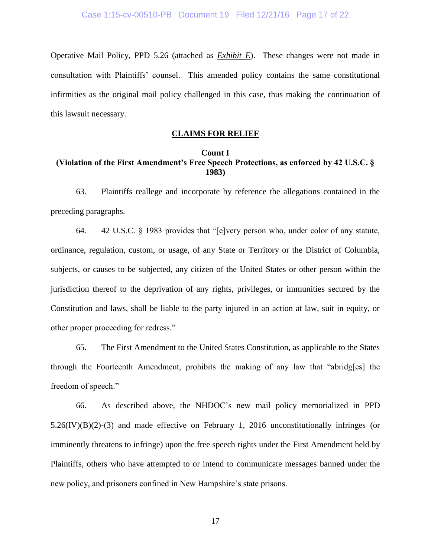Operative Mail Policy, PPD 5.26 (attached as *Exhibit E*). These changes were not made in consultation with Plaintiffs' counsel. This amended policy contains the same constitutional infirmities as the original mail policy challenged in this case, thus making the continuation of this lawsuit necessary.

## **CLAIMS FOR RELIEF**

## **Count I (Violation of the First Amendment's Free Speech Protections, as enforced by 42 U.S.C. § 1983)**

63. Plaintiffs reallege and incorporate by reference the allegations contained in the preceding paragraphs.

64. 42 U.S.C. § 1983 provides that "[e]very person who, under color of any statute, ordinance, regulation, custom, or usage, of any State or Territory or the District of Columbia, subjects, or causes to be subjected, any citizen of the United States or other person within the jurisdiction thereof to the deprivation of any rights, privileges, or immunities secured by the Constitution and laws, shall be liable to the party injured in an action at law, suit in equity, or other proper proceeding for redress."

65. The First Amendment to the United States Constitution, as applicable to the States through the Fourteenth Amendment, prohibits the making of any law that "abridg[es] the freedom of speech."

66. As described above, the NHDOC's new mail policy memorialized in PPD  $5.26$ (IV)(B)(2)-(3) and made effective on February 1, 2016 unconstitutionally infringes (or imminently threatens to infringe) upon the free speech rights under the First Amendment held by Plaintiffs, others who have attempted to or intend to communicate messages banned under the new policy, and prisoners confined in New Hampshire's state prisons.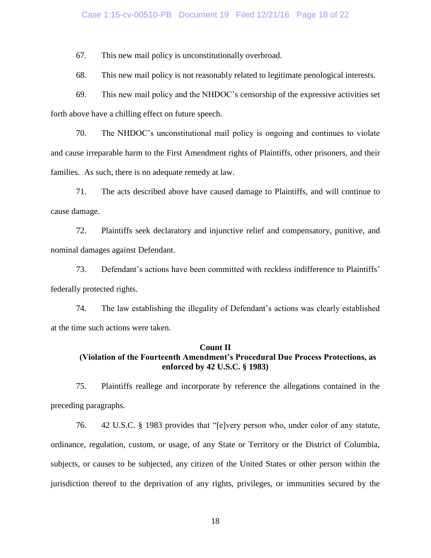### Case 1:15-cv-00510-PB Document 19 Filed 12/21/16 Page 18 of 22

67. This new mail policy is unconstitutionally overbroad.

68. This new mail policy is not reasonably related to legitimate penological interests.

69. This new mail policy and the NHDOC's censorship of the expressive activities set forth above have a chilling effect on future speech.

70. The NHDOC's unconstitutional mail policy is ongoing and continues to violate and cause irreparable harm to the First Amendment rights of Plaintiffs, other prisoners, and their families. As such, there is no adequate remedy at law.

71. The acts described above have caused damage to Plaintiffs, and will continue to cause damage.

72. Plaintiffs seek declaratory and injunctive relief and compensatory, punitive, and nominal damages against Defendant.

73. Defendant's actions have been committed with reckless indifference to Plaintiffs' federally protected rights.

74. The law establishing the illegality of Defendant's actions was clearly established at the time such actions were taken.

#### **Count II**

# **(Violation of the Fourteenth Amendment's Procedural Due Process Protections, as enforced by 42 U.S.C. § 1983)**

75. Plaintiffs reallege and incorporate by reference the allegations contained in the preceding paragraphs.

76. 42 U.S.C. § 1983 provides that "[e]very person who, under color of any statute, ordinance, regulation, custom, or usage, of any State or Territory or the District of Columbia, subjects, or causes to be subjected, any citizen of the United States or other person within the jurisdiction thereof to the deprivation of any rights, privileges, or immunities secured by the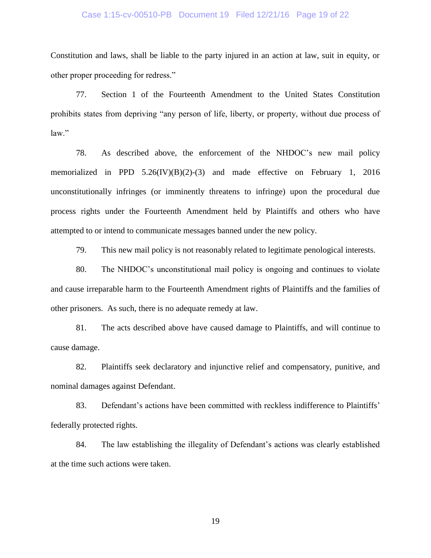#### Case 1:15-cv-00510-PB Document 19 Filed 12/21/16 Page 19 of 22

Constitution and laws, shall be liable to the party injured in an action at law, suit in equity, or other proper proceeding for redress."

77. Section 1 of the Fourteenth Amendment to the United States Constitution prohibits states from depriving "any person of life, liberty, or property, without due process of law."

78. As described above, the enforcement of the NHDOC's new mail policy memorialized in PPD 5.26(IV)(B)(2)-(3) and made effective on February 1, 2016 unconstitutionally infringes (or imminently threatens to infringe) upon the procedural due process rights under the Fourteenth Amendment held by Plaintiffs and others who have attempted to or intend to communicate messages banned under the new policy.

79. This new mail policy is not reasonably related to legitimate penological interests.

80. The NHDOC's unconstitutional mail policy is ongoing and continues to violate and cause irreparable harm to the Fourteenth Amendment rights of Plaintiffs and the families of other prisoners. As such, there is no adequate remedy at law.

81. The acts described above have caused damage to Plaintiffs, and will continue to cause damage.

82. Plaintiffs seek declaratory and injunctive relief and compensatory, punitive, and nominal damages against Defendant.

83. Defendant's actions have been committed with reckless indifference to Plaintiffs' federally protected rights.

84. The law establishing the illegality of Defendant's actions was clearly established at the time such actions were taken.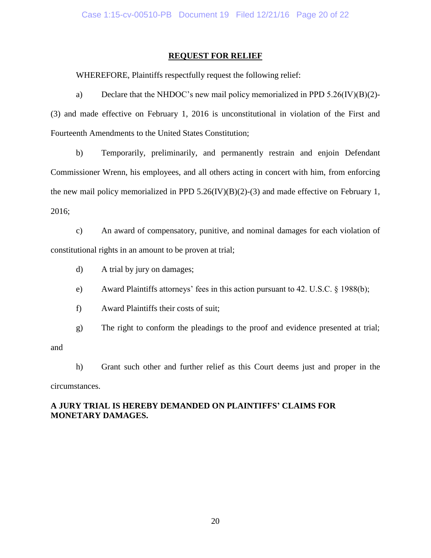## **REQUEST FOR RELIEF**

WHEREFORE, Plaintiffs respectfully request the following relief:

a) Declare that the NHDOC's new mail policy memorialized in PPD 5.26(IV)(B)(2)- (3) and made effective on February 1, 2016 is unconstitutional in violation of the First and Fourteenth Amendments to the United States Constitution;

b) Temporarily, preliminarily, and permanently restrain and enjoin Defendant Commissioner Wrenn, his employees, and all others acting in concert with him, from enforcing the new mail policy memorialized in PPD  $5.26$ (IV)(B)(2)-(3) and made effective on February 1, 2016;

c) An award of compensatory, punitive, and nominal damages for each violation of constitutional rights in an amount to be proven at trial;

- d) A trial by jury on damages;
- e) Award Plaintiffs attorneys' fees in this action pursuant to 42. U.S.C. § 1988(b);
- f) Award Plaintiffs their costs of suit;

g) The right to conform the pleadings to the proof and evidence presented at trial;

and

h) Grant such other and further relief as this Court deems just and proper in the

circumstances.

# **A JURY TRIAL IS HEREBY DEMANDED ON PLAINTIFFS' CLAIMS FOR MONETARY DAMAGES.**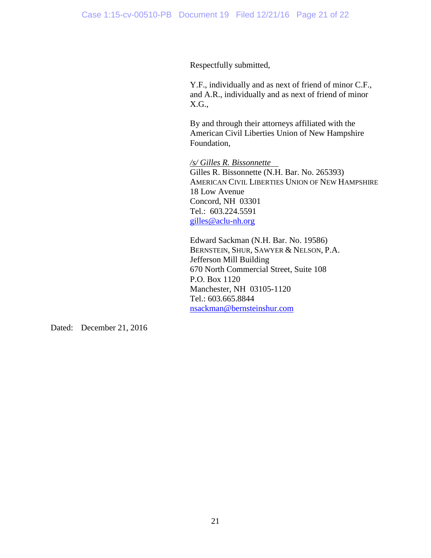Respectfully submitted,

Y.F., individually and as next of friend of minor C.F., and A.R., individually and as next of friend of minor X.G.,

By and through their attorneys affiliated with the American Civil Liberties Union of New Hampshire Foundation,

*/s/ Gilles R. Bissonnette* Gilles R. Bissonnette (N.H. Bar. No. 265393) AMERICAN CIVIL LIBERTIES UNION OF NEW HAMPSHIRE 18 Low Avenue Concord, NH 03301 Tel.: 603.224.5591 [gilles@aclu-nh.org](mailto:gilles@aclu-nh.org)

Edward Sackman (N.H. Bar. No. 19586) BERNSTEIN, SHUR, SAWYER & NELSON, P.A. Jefferson Mill Building 670 North Commercial Street, Suite 108 P.O. Box 1120 Manchester, NH 03105-1120 Tel.: 603.665.8844 [nsackman@bernsteinshur.com](mailto:nsackman@bernsteinshur.com)

Dated: December 21, 2016